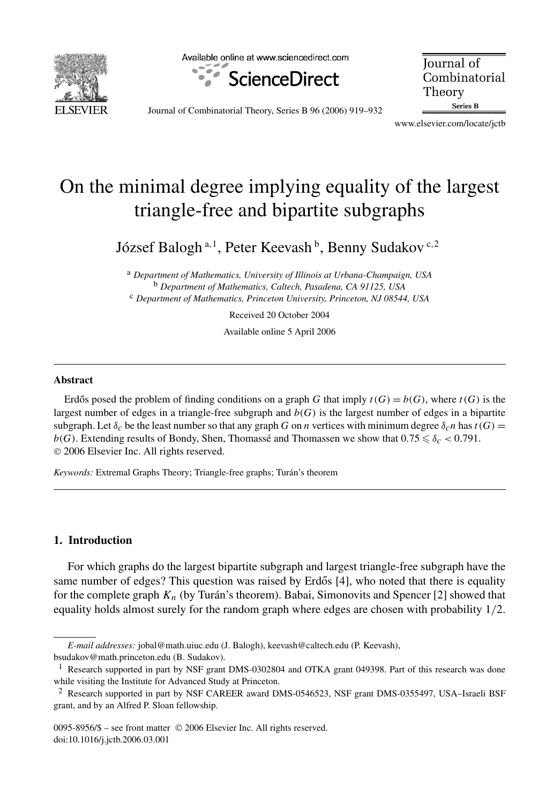

Available online at www.sciencedirect.com



**Journal** of Combinatorial Theory Series B

Journal of Combinatorial Theory, Series B 96 (2006) 919–932

www.elsevier.com/locate/jctb

# On the minimal degree implying equality of the largest triangle-free and bipartite subgraphs

József Balogh<sup>a, 1</sup>, Peter Keevash <sup>b</sup>, Benny Sudakov<sup>c, 2</sup>

<sup>a</sup> *Department of Mathematics, University of Illinois at Urbana-Champaign, USA* <sup>b</sup> *Department of Mathematics, Caltech, Pasadena, CA 91125, USA* <sup>c</sup> *Department of Mathematics, Princeton University, Princeton, NJ 08544, USA*

Received 20 October 2004

Available online 5 April 2006

#### **Abstract**

Erdős posed the problem of finding conditions on a graph G that imply  $t(G) = b(G)$ , where  $t(G)$  is the largest number of edges in a triangle-free subgraph and *b(G)* is the largest number of edges in a bipartite subgraph. Let  $\delta_c$  be the least number so that any graph *G* on *n* vertices with minimum degree  $\delta_c n$  has  $t(G)$  =  $b(G)$ . Extending results of Bondy, Shen, Thomassé and Thomassen we show that  $0.75 \leq \delta_c < 0.791$ . © 2006 Elsevier Inc. All rights reserved.

*Keywords:* Extremal Graphs Theory; Triangle-free graphs; Turán's theorem

## **1. Introduction**

For which graphs do the largest bipartite subgraph and largest triangle-free subgraph have the same number of edges? This question was raised by Erdős  $[4]$ , who noted that there is equality for the complete graph *Kn* (by Turán's theorem). Babai, Simonovits and Spencer [2] showed that equality holds almost surely for the random graph where edges are chosen with probability 1*/*2.

bsudakov@math.princeton.edu (B. Sudakov).

*E-mail addresses:* jobal@math.uiuc.edu (J. Balogh), keevash@caltech.edu (P. Keevash),

<sup>&</sup>lt;sup>1</sup> Research supported in part by NSF grant DMS-0302804 and OTKA grant 049398. Part of this research was done while visiting the Institute for Advanced Study at Princeton.

<sup>&</sup>lt;sup>2</sup> Research supported in part by NSF CAREER award DMS-0546523, NSF grant DMS-0355497, USA–Israeli BSF grant, and by an Alfred P. Sloan fellowship.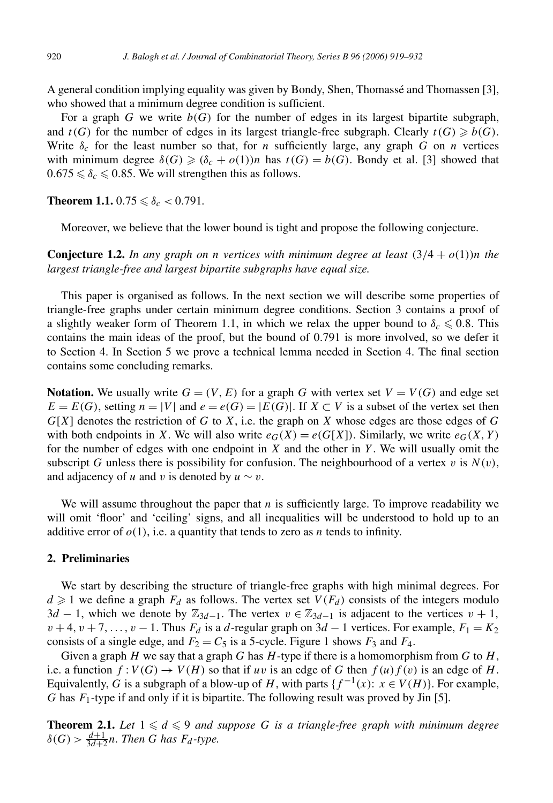A general condition implying equality was given by Bondy, Shen, Thomassé and Thomassen [3], who showed that a minimum degree condition is sufficient.

For a graph *G* we write  $b(G)$  for the number of edges in its largest bipartite subgraph, and  $t(G)$  for the number of edges in its largest triangle-free subgraph. Clearly  $t(G) \geq b(G)$ . Write  $\delta_c$  for the least number so that, for *n* sufficiently large, any graph *G* on *n* vertices with minimum degree  $\delta(G) \geq (\delta_c + o(1))n$  has  $t(G) = b(G)$ . Bondy et al. [3] showed that  $0.675 \leq \delta_c \leq 0.85$ . We will strengthen this as follows.

**Theorem 1.1.**  $0.75 \leq \delta_c < 0.791$ .

Moreover, we believe that the lower bound is tight and propose the following conjecture.

**Conjecture 1.2.** In any graph on *n* vertices with minimum degree at least  $(3/4 + o(1))n$  the *largest triangle-free and largest bipartite subgraphs have equal size.*

This paper is organised as follows. In the next section we will describe some properties of triangle-free graphs under certain minimum degree conditions. Section 3 contains a proof of a slightly weaker form of Theorem 1.1, in which we relax the upper bound to  $\delta_c \leq 0.8$ . This contains the main ideas of the proof, but the bound of 0*.*791 is more involved, so we defer it to Section 4. In Section 5 we prove a technical lemma needed in Section 4. The final section contains some concluding remarks.

**Notation.** We usually write  $G = (V, E)$  for a graph G with vertex set  $V = V(G)$  and edge set  $E = E(G)$ , setting  $n = |V|$  and  $e = e(G) = |E(G)|$ . If  $X \subset V$  is a subset of the vertex set then  $G[X]$  denotes the restriction of *G* to *X*, i.e. the graph on *X* whose edges are those edges of *G* with both endpoints in *X*. We will also write  $e_G(X) = e(G[X])$ . Similarly, we write  $e_G(X, Y)$ for the number of edges with one endpoint in *X* and the other in *Y* . We will usually omit the subscript *G* unless there is possibility for confusion. The neighbourhood of a vertex  $v$  is  $N(v)$ , and adjacency of *u* and *v* is denoted by  $u \sim v$ .

We will assume throughout the paper that *n* is sufficiently large. To improve readability we will omit 'floor' and 'ceiling' signs, and all inequalities will be understood to hold up to an additive error of  $o(1)$ , i.e. a quantity that tends to zero as *n* tends to infinity.

## **2. Preliminaries**

We start by describing the structure of triangle-free graphs with high minimal degrees. For  $d \geq 1$  we define a graph  $F_d$  as follows. The vertex set  $V(F_d)$  consists of the integers modulo  $3d - 1$ , which we denote by  $\mathbb{Z}_{3d-1}$ . The vertex  $v \in \mathbb{Z}_{3d-1}$  is adjacent to the vertices  $v + 1$ ,  $v + 4$ ,  $v + 7, \ldots, v - 1$ . Thus  $F_d$  is a *d*-regular graph on 3*d* − 1 vertices. For example,  $F_1 = K_2$ consists of a single edge, and  $F_2 = C_5$  is a 5-cycle. Figure 1 shows  $F_3$  and  $F_4$ .

Given a graph *H* we say that a graph *G* has *H*-type if there is a homomorphism from *G* to *H*, i.e. a function  $f: V(G) \to V(H)$  so that if *uv* is an edge of *G* then  $f(u)f(v)$  is an edge of *H*. Equivalently, *G* is a subgraph of a blow-up of *H*, with parts  $\{f^{-1}(x): x \in V(H)\}$ . For example, *G* has *F*1-type if and only if it is bipartite. The following result was proved by Jin [5].

**Theorem 2.1.** Let  $1 \leq d \leq 9$  and suppose G is a triangle-free graph with minimum degree  $\delta(G) > \frac{d+1}{3d+2}n$ . Then *G* has  $F_d$ -type.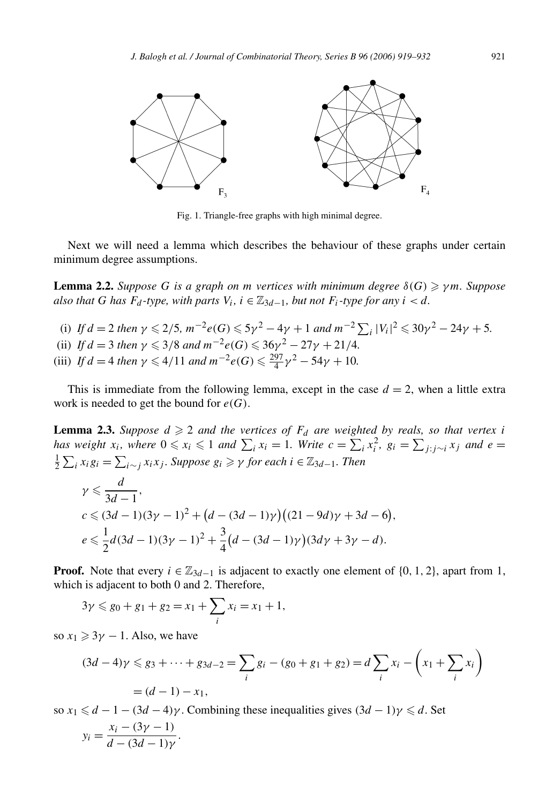

Fig. 1. Triangle-free graphs with high minimal degree.

Next we will need a lemma which describes the behaviour of these graphs under certain minimum degree assumptions.

**Lemma 2.2.** *Suppose G is a graph on m vertices with minimum degree*  $\delta(G) \geq \gamma m$ *. Suppose also that G has*  $F_d$ -type, with parts  $V_i$ ,  $i \in \mathbb{Z}_{3d-1}$ , but not  $F_i$ -type for any  $i < d$ .

(i) *If*  $d = 2$  *then*  $\gamma \leq 2/5$ ,  $m^{-2}e(G) \leq 5\gamma^2 - 4\gamma + 1$  *and*  $m^{-2} \sum_i |V_i|^2 \leq 30\gamma^2 - 24\gamma + 5$ . (ii) *If*  $d = 3$  *then*  $\gamma \leq 3/8$  *and*  $m^{-2}e(G) \leq 36\gamma^2 - 27\gamma + 21/4$ . (iii) *If*  $d = 4$  *then*  $\gamma \le 4/11$  *and*  $m^{-2}e(G) \le \frac{297}{4}\gamma^2 - 54\gamma + 10$ *.* 

This is immediate from the following lemma, except in the case  $d = 2$ , when a little extra work is needed to get the bound for *e(G)*.

**Lemma 2.3.** *Suppose*  $d \ge 2$  *and the vertices of*  $F_d$  *are weighted by reals, so that vertex i* has weight  $x_i$ , where  $0 \le x_i \le 1$  and  $\sum_i x_i = 1$ . Write  $c = \sum_i x_i^2$ ,  $g_i = \sum_{j : j \sim i} x_j$  and  $e =$  $\frac{1}{2} \sum_i x_i g_i = \sum_{i \sim j} x_i x_j$ . Suppose  $g_i \ge \gamma$  for each  $i \in \mathbb{Z}_{3d-1}$ . Then  $\gamma \leqslant \frac{d}{\gamma}$ 

$$
\gamma \leq \frac{1}{3d-1},
$$
  
\n
$$
c \leq (3d-1)(3\gamma - 1)^2 + (d - (3d-1)\gamma)((21 - 9d)\gamma + 3d - 6),
$$
  
\n
$$
e \leq \frac{1}{2}d(3d-1)(3\gamma - 1)^2 + \frac{3}{4}(d - (3d-1)\gamma)(3d\gamma + 3\gamma - d).
$$

**Proof.** Note that every  $i \in \mathbb{Z}_{3d-1}$  is adjacent to exactly one element of {0, 1, 2}, apart from 1, which is adjacent to both 0 and 2. Therefore,

$$
3\gamma \leq g_0 + g_1 + g_2 = x_1 + \sum_i x_i = x_1 + 1,
$$

so  $x_1 \geq 3\gamma - 1$ . Also, we have

$$
(3d - 4)\gamma \leq g_3 + \dots + g_{3d-2} = \sum_i g_i - (g_0 + g_1 + g_2) = d \sum_i x_i - \left(x_1 + \sum_i x_i\right)
$$
  
=  $(d - 1) - x_1$ ,

so  $x_1 \leq d - 1 - (3d - 4)\gamma$ . Combining these inequalities gives  $(3d - 1)\gamma \leq d$ . Set  $y_i = \frac{x_i - (3\gamma - 1)}{d - (3d - 1)\gamma}.$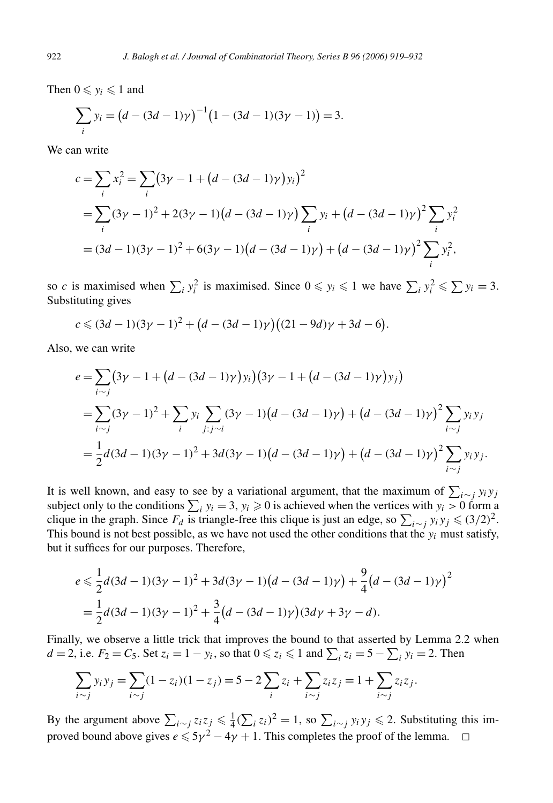Then  $0 \leqslant y_i \leqslant 1$  and

$$
\sum_{i} y_i = (d - (3d - 1)\gamma)^{-1} (1 - (3d - 1)(3\gamma - 1)) = 3.
$$

We can write

$$
c = \sum_{i} x_{i}^{2} = \sum_{i} (3\gamma - 1 + (d - (3d - 1)\gamma)y_{i})^{2}
$$
  
=  $\sum_{i} (3\gamma - 1)^{2} + 2(3\gamma - 1)(d - (3d - 1)\gamma) \sum_{i} y_{i} + (d - (3d - 1)\gamma)^{2} \sum_{i} y_{i}^{2}$   
=  $(3d - 1)(3\gamma - 1)^{2} + 6(3\gamma - 1)(d - (3d - 1)\gamma) + (d - (3d - 1)\gamma)^{2} \sum_{i} y_{i}^{2}$ ,

so *c* is maximised when  $\sum_i y_i^2$  is maximised. Since  $0 \le y_i \le 1$  we have  $\sum_i y_i^2 \le \sum y_i = 3$ . Substituting gives

$$
c \leq (3d - 1)(3\gamma - 1)^{2} + (d - (3d - 1)\gamma)((21 - 9d)\gamma + 3d - 6).
$$

Also, we can write

$$
e = \sum_{i \sim j} (3\gamma - 1 + (d - (3d - 1)\gamma)y_i)(3\gamma - 1 + (d - (3d - 1)\gamma)y_j)
$$
  
= 
$$
\sum_{i \sim j} (3\gamma - 1)^2 + \sum_i y_i \sum_{j : j \sim i} (3\gamma - 1)(d - (3d - 1)\gamma) + (d - (3d - 1)\gamma)^2 \sum_{i \sim j} y_i y_j
$$
  
= 
$$
\frac{1}{2}d(3d - 1)(3\gamma - 1)^2 + 3d(3\gamma - 1)(d - (3d - 1)\gamma) + (d - (3d - 1)\gamma)^2 \sum_{i \sim j} y_i y_j.
$$

It is well known, and easy to see by a variational argument, that the maximum of  $\sum_{i \sim j} y_i y_j$ subject only to the conditions  $\sum_i y_i = 3$ ,  $y_i \ge 0$  is achieved when the vertices with  $y_i > 0$  form a clique in the graph. Since  $F_d$  is triangle-free this clique is just an edge, so  $\sum_{i \sim j} y_i y_j \leq (3/2)^2$ . This bound is not best possible, as we have not used the other conditions that the  $y_i$  must satisfy, but it suffices for our purposes. Therefore,

$$
e \le \frac{1}{2}d(3d-1)(3\gamma - 1)^2 + 3d(3\gamma - 1)(d - (3d - 1)\gamma) + \frac{9}{4}(d - (3d - 1)\gamma)^2
$$
  
=  $\frac{1}{2}d(3d - 1)(3\gamma - 1)^2 + \frac{3}{4}(d - (3d - 1)\gamma)(3d\gamma + 3\gamma - d).$ 

Finally, we observe a little trick that improves the bound to that asserted by Lemma 2.2 when *d* = 2, i.e.  $F_2 = C_5$ . Set  $z_i = 1 - y_i$ , so that  $0 \le z_i \le 1$  and  $\sum_i z_i = 5 - \sum_i y_i = 2$ . Then

$$
\sum_{i \sim j} y_i y_j = \sum_{i \sim j} (1 - z_i)(1 - z_j) = 5 - 2 \sum_i z_i + \sum_{i \sim j} z_i z_j = 1 + \sum_{i \sim j} z_i z_j.
$$

By the argument above  $\sum_{i \sim j} z_i z_j \leq \frac{1}{4} (\sum_i z_i)^2 = 1$ , so  $\sum_{i \sim j} y_i y_j \leq 2$ . Substituting this improved bound above gives  $e \leq 5\gamma^2 - 4\gamma + 1$ . This completes the proof of the lemma.  $\Box$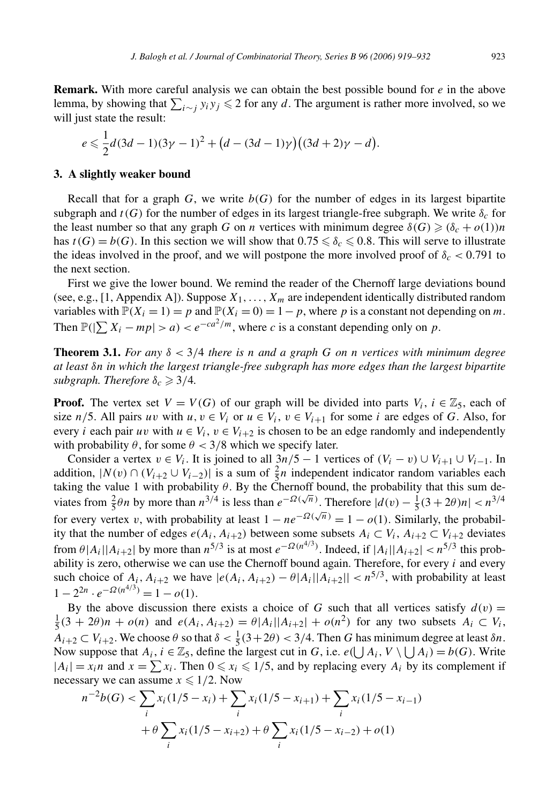**Remark.** With more careful analysis we can obtain the best possible bound for *e* in the above lemma, by showing that  $\sum_{i \sim j} y_i y_j \leq 2$  for any *d*. The argument is rather more involved, so we will just state the result:

$$
e \leq \frac{1}{2}d(3d-1)(3\gamma-1)^2 + \big(d-(3d-1)\gamma\big)\big((3d+2)\gamma-d\big).
$$

#### **3. A slightly weaker bound**

Recall that for a graph  $G$ , we write  $b(G)$  for the number of edges in its largest bipartite subgraph and  $t(G)$  for the number of edges in its largest triangle-free subgraph. We write  $\delta_c$  for the least number so that any graph *G* on *n* vertices with minimum degree  $\delta(G) \geq (\delta_c + o(1))n$ has  $t(G) = b(G)$ . In this section we will show that  $0.75 \leq \delta_c \leq 0.8$ . This will serve to illustrate the ideas involved in the proof, and we will postpone the more involved proof of  $\delta_c < 0.791$  to the next section.

First we give the lower bound. We remind the reader of the Chernoff large deviations bound (see, e.g., [1, Appendix A]). Suppose  $X_1, \ldots, X_m$  are independent identically distributed random variables with  $\mathbb{P}(X_i = 1) = p$  and  $\mathbb{P}(X_i = 0) = 1 - p$ , where *p* is a constant not depending on *m*. Then  $\mathbb{P}(|\sum X_i - mp| > a) < e^{-ca^2/m}$ , where *c* is a constant depending only on *p*.

**Theorem 3.1.** *For any δ <* 3*/*4 *there is n and a graph G on n vertices with minimum degree at least δn in which the largest triangle-free subgraph has more edges than the largest bipartite subgraph. Therefore*  $\delta_c \geqslant 3/4$ .

**Proof.** The vertex set  $V = V(G)$  of our graph will be divided into parts  $V_i$ ,  $i \in \mathbb{Z}_5$ , each of size  $n/5$ . All pairs *uv* with  $u, v \in V_i$  or  $u \in V_i$ ,  $v \in V_{i+1}$  for some *i* are edges of *G*. Also, for every *i* each pair *uv* with  $u \in V_i$ ,  $v \in V_{i+2}$  is chosen to be an edge randomly and independently with probability  $\theta$ , for some  $\theta$  < 3/8 which we specify later.

Consider a vertex  $v \in V_i$ . It is joined to all  $3n/5 - 1$  vertices of  $(V_i - v) \cup V_{i+1} \cup V_{i-1}$ . In addition,  $|N(v) \cap (V_{i+2} \cup V_{i-2})|$  is a sum of  $\frac{2}{5}n$  independent indicator random variables each taking the value 1 with probability  $\theta$ . By the Chernoff bound, the probability that this sum deviates from  $\frac{2}{5}\theta n$  by more than  $n^{3/4}$  is less than  $e^{-\Omega(\sqrt{n})}$ . Therefore  $|d(v) - \frac{1}{5}(3 + 2\theta)n| < n^{3/4}$ for every vertex *v*, with probability at least  $1 - ne^{-\Omega(\sqrt{n})} = 1 - o(1)$ . Similarly, the probability that the number of edges  $e(A_i, A_{i+2})$  between some subsets  $A_i \subset V_i$ ,  $A_{i+2} \subset V_{i+2}$  deviates from  $\theta |A_i||A_{i+2}|$  by more than  $n^{5/3}$  is at most  $e^{-\Omega(n^{4/3})}$ . Indeed, if  $|A_i||A_{i+2}| < n^{5/3}$  this probability is zero, otherwise we can use the Chernoff bound again. Therefore, for every *i* and every such choice of  $A_i$ ,  $A_{i+2}$  we have  $|e(A_i, A_{i+2}) - \theta |A_i||A_{i+2}|| < n^{5/3}$ , with probability at least  $1 - 2^{2n} \cdot e^{-\Omega(n^{4/3})} = 1 - o(1).$ 

By the above discussion there exists a choice of *G* such that all vertices satisfy  $d(v)$  =  $\frac{1}{5}(3 + 2\theta)n + o(n)$  and  $e(A_i, A_{i+2}) = \theta |A_i||A_{i+2}| + o(n^2)$  for any two subsets  $A_i \subset V_i$ ,  $A_{i+2} \subset V_{i+2}$ . We choose  $\theta$  so that  $\delta < \frac{1}{5}(3+2\theta) < 3/4$ . Then *G* has minimum degree at least  $\delta n$ . Now suppose that  $A_i$ ,  $i \in \mathbb{Z}_5$ , define the largest cut in *G*, i.e.  $e(\bigcup A_i, V \setminus \bigcup A_i) = b(G)$ . Write  $|A_i| = x_i n$  and  $x = \sum x_i$ . Then  $0 \le x_i \le 1/5$ , and by replacing every  $A_i$  by its complement if necessary we can assume  $x \leq 1/2$ . Now

$$
n^{-2}b(G) < \sum_{i} x_i (1/5 - x_i) + \sum_{i} x_i (1/5 - x_{i+1}) + \sum_{i} x_i (1/5 - x_{i-1}) + \theta \sum_{i} x_i (1/5 - x_{i+2}) + \theta \sum_{i} x_i (1/5 - x_{i-2}) + o(1)
$$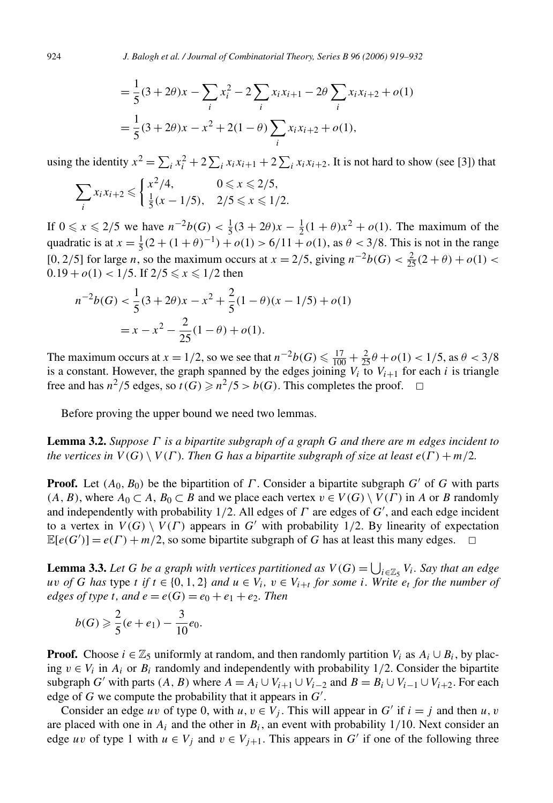$$
= \frac{1}{5}(3+2\theta)x - \sum_{i} x_i^2 - 2\sum_{i} x_i x_{i+1} - 2\theta \sum_{i} x_i x_{i+2} + o(1)
$$
  

$$
= \frac{1}{5}(3+2\theta)x - x^2 + 2(1-\theta) \sum_{i} x_i x_{i+2} + o(1),
$$

using the identity  $x^2 = \sum_i x_i^2 + 2\sum_i x_i x_{i+1} + 2\sum_i x_i x_{i+2}$ . It is not hard to show (see [3]) that

$$
\sum_{i} x_{i} x_{i+2} \leq \begin{cases} x^{2}/4, & 0 \leq x \leq 2/5, \\ \frac{1}{5}(x-1/5), & 2/5 \leq x \leq 1/2. \end{cases}
$$

If 0 ≤ *x* ≤ 2/5 we have  $n^{-2}b(G)$  <  $\frac{1}{5}(3+2\theta)x - \frac{1}{2}(1+\theta)x^2 + o(1)$ . The maximum of the quadratic is at  $x = \frac{1}{5}(2 + (1 + \theta)^{-1}) + o(1) > 6/11 + o(1)$ , as  $\theta < 3/8$ . This is not in the range [0, 2/5] for large *n*, so the maximum occurs at *x* = 2/5, giving *n*<sup>−2</sup>*b*(*G*) <  $\frac{2}{25}(2 + θ) + o(1)$  <  $0.19 + o(1) < 1/5$ . If  $2/5 \le x \le 1/2$  then

$$
n^{-2}b(G) < \frac{1}{5}(3+2\theta)x - x^2 + \frac{2}{5}(1-\theta)(x-1/5) + o(1)
$$
\n
$$
= x - x^2 - \frac{2}{25}(1-\theta) + o(1).
$$

The maximum occurs at  $x = 1/2$ , so we see that  $n^{-2}b(G) \le \frac{17}{100} + \frac{2}{25}\theta + o(1) < 1/5$ , as  $\theta < 3/8$ is a constant. However, the graph spanned by the edges joining  $V_i$  to  $V_{i+1}$  for each *i* is triangle free and has  $n^2/5$  edges, so  $t(G) \geq n^2/5 > b(G)$ . This completes the proof.  $\Box$ 

Before proving the upper bound we need two lemmas.

**Lemma 3.2.** *Suppose Γ is a bipartite subgraph of a graph G and there are m edges incident to the vertices in*  $V(G) \setminus V(\Gamma)$ *. Then G has a bipartite subgraph of size at least*  $e(\Gamma) + m/2$ *.* 

**Proof.** Let  $(A_0, B_0)$  be the bipartition of *Γ*. Consider a bipartite subgraph *G*<sup>'</sup> of *G* with parts  $(A, B)$ , where  $A_0 \subset A$ ,  $B_0 \subset B$  and we place each vertex  $v \in V(G) \setminus V(F)$  in *A* or *B* randomly and independently with probability 1/2. All edges of *Γ* are edges of *G*<sup>'</sup>, and each edge incident to a vertex in  $V(G) \setminus V(\Gamma)$  appears in G' with probability 1/2. By linearity of expectation  $\mathbb{E}[e(G')] = e(\Gamma) + \frac{m}{2}$ , so some bipartite subgraph of *G* has at least this many edges.  $\Box$ 

**Lemma 3.3.** *Let G be a graph with vertices partitioned as*  $V(G) = \bigcup_{i \in \mathbb{Z}_5} V_i$ *. Say that an edge* uv of G has type t if  $t \in \{0, 1, 2\}$  and  $u \in V_i$ ,  $v \in V_{i+t}$  for some i. Write  $e_t$  for the number of *edges of type t, and*  $e = e(G) = e_0 + e_1 + e_2$ *. Then* 

$$
b(G) \geq \frac{2}{5}(e+e_1) - \frac{3}{10}e_0.
$$

**Proof.** Choose  $i \in \mathbb{Z}_5$  uniformly at random, and then randomly partition  $V_i$  as  $A_i \cup B_i$ , by placing  $v \in V_i$  in  $A_i$  or  $B_i$  randomly and independently with probability 1/2. Consider the bipartite subgraph *G*<sup>'</sup> with parts  $(A, B)$  where  $A = A_i \cup V_{i+1} \cup V_{i-2}$  and  $B = B_i \cup V_{i-1} \cup V_{i+2}$ . For each edge of  $G$  we compute the probability that it appears in  $G'$ .

Consider an edge *uv* of type 0, with  $u, v \in V_i$ . This will appear in G' if  $i = j$  and then  $u, v$ are placed with one in  $A_i$  and the other in  $B_i$ , an event with probability  $1/10$ . Next consider an edge *uv* of type 1 with  $u \in V_j$  and  $v \in V_{j+1}$ . This appears in G' if one of the following three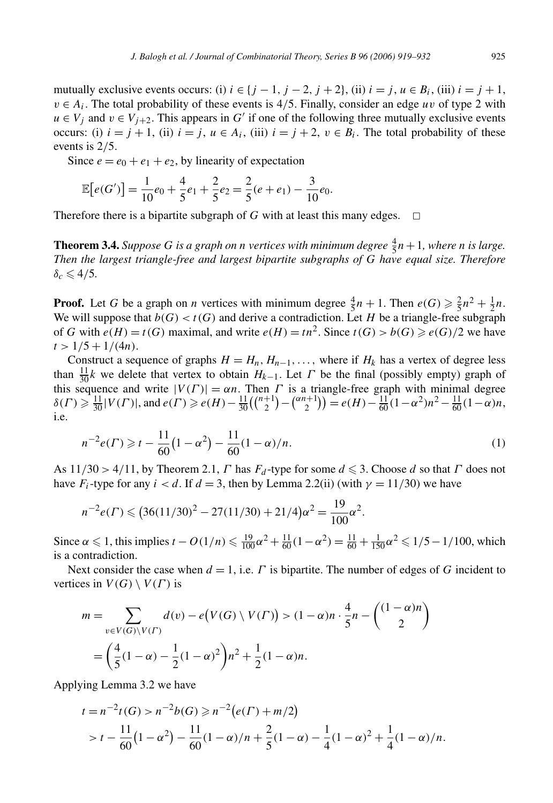mutually exclusive events occurs: (i)  $i \in \{j-1, j-2, j+2\}$ , (ii)  $i = j, u \in B_i$ , (iii)  $i = j + 1$ ,  $v \in A_i$ . The total probability of these events is 4/5. Finally, consider an edge *uv* of type 2 with  $u \in V_i$  and  $v \in V_{i+2}$ . This appears in *G*<sup>'</sup> if one of the following three mutually exclusive events occurs: (i)  $i = j + 1$ , (ii)  $i = j$ ,  $u \in A_i$ , (iii)  $i = j + 2$ ,  $v \in B_i$ . The total probability of these events is 2*/*5.

Since  $e = e_0 + e_1 + e_2$ , by linearity of expectation

$$
\mathbb{E}[e(G')] = \frac{1}{10}e_0 + \frac{4}{5}e_1 + \frac{2}{5}e_2 = \frac{2}{5}(e+e_1) - \frac{3}{10}e_0.
$$

Therefore there is a bipartite subgraph of *G* with at least this many edges.  $\Box$ 

**Theorem 3.4.** *Suppose G is a graph on n vertices with minimum degree*  $\frac{4}{5}n + 1$ *, where n is large. Then the largest triangle-free and largest bipartite subgraphs of G have equal size. Therefore*  $\delta_c \leqslant 4/5$ .

**Proof.** Let *G* be a graph on *n* vertices with minimum degree  $\frac{4}{5}n + 1$ . Then  $e(G) \geq \frac{2}{5}n^2 + \frac{1}{2}n$ . We will suppose that  $b(G) < t(G)$  and derive a contradiction. Let *H* be a triangle-free subgraph of *G* with  $e(H) = t(G)$  maximal, and write  $e(H) = \frac{tn^2}{s}$ . Since  $t(G) > b(G) \geq e(G)/2$  we have  $t > 1/5 + 1/(4n)$ .

Construct a sequence of graphs  $H = H_n, H_{n-1}, \ldots$ , where if  $H_k$  has a vertex of degree less than  $\frac{11}{30}k$  we delete that vertex to obtain  $H_{k-1}$ . Let  $\Gamma$  be the final (possibly empty) graph of this sequence and write  $|V(\Gamma)| = \alpha n$ . Then  $\Gamma$  is a triangle-free graph with minimal degree  $\delta(F) \geq \frac{11}{30} |V(F)|$ , and  $e(\Gamma) \geq e(H) - \frac{11}{30} {n+1 \choose 2} - {(\alpha n+1 \choose 2}) = e(H) - \frac{11}{60} (1-\alpha^2)n^2 - \frac{11}{60} (1-\alpha)n$ , i.e.

$$
n^{-2}e(\Gamma) \geqslant t - \frac{11}{60} \left(1 - \alpha^2\right) - \frac{11}{60} \left(1 - \alpha\right) / n. \tag{1}
$$

As 11/30 > 4/11, by Theorem 2.1, *Γ* has *F<sub>d</sub>*-type for some *d* ≤ 3. Choose *d* so that *Γ* does not have *F<sub>i</sub>*-type for any *i* < *d*. If  $d = 3$ , then by Lemma 2.2(ii) (with  $\gamma = 11/30$ ) we have

$$
n^{-2}e(\Gamma) \leq (36(11/30)^2 - 27(11/30) + 21/4)\alpha^2 = \frac{19}{100}\alpha^2.
$$

Since  $\alpha \le 1$ , this implies  $t - O(1/n) \le \frac{19}{100}\alpha^2 + \frac{11}{60}(1-\alpha^2) = \frac{11}{60} + \frac{1}{150}\alpha^2 \le 1/5 - 1/100$ , which is a contradiction.

Next consider the case when  $d = 1$ , i.e.  $\Gamma$  is bipartite. The number of edges of G incident to vertices in  $V(G) \setminus V(\Gamma)$  is

$$
m = \sum_{v \in V(G) \setminus V(\Gamma)} d(v) - e(V(G) \setminus V(\Gamma)) > (1 - \alpha)n \cdot \frac{4}{5}n - \binom{(1 - \alpha)n}{2}
$$

$$
= \left(\frac{4}{5}(1 - \alpha) - \frac{1}{2}(1 - \alpha)^2\right)n^2 + \frac{1}{2}(1 - \alpha)n.
$$

Applying Lemma 3.2 we have

$$
t = n^{-2}t(G) > n^{-2}b(G) \ge n^{-2}(e(\Gamma) + m/2)
$$
  
>  $t - \frac{11}{60}(1 - \alpha^2) - \frac{11}{60}(1 - \alpha)/n + \frac{2}{5}(1 - \alpha) - \frac{1}{4}(1 - \alpha)^2 + \frac{1}{4}(1 - \alpha)/n.$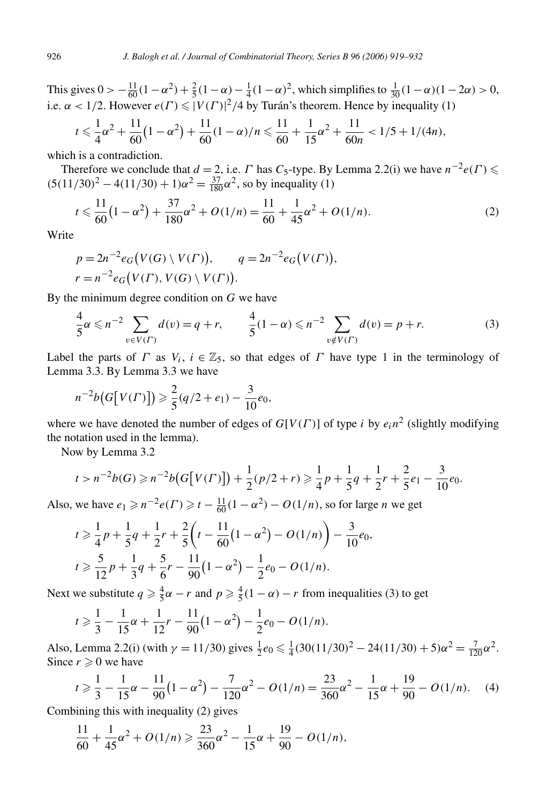This gives  $0 > -\frac{11}{60}(1 - \alpha^2) + \frac{2}{5}(1 - \alpha) - \frac{1}{4}(1 - \alpha)^2$ , which simplifies to  $\frac{1}{30}(1 - \alpha)(1 - 2\alpha) > 0$ , i.e.  $\alpha$  < 1/2. However  $e(\Gamma) \leq |V(\Gamma)|^2/4$  by Turán's theorem. Hence by inequality (1)

$$
t \leq \frac{1}{4}\alpha^2 + \frac{11}{60}\left(1 - \alpha^2\right) + \frac{11}{60}\left(1 - \alpha\right)/n \leq \frac{11}{60} + \frac{1}{15}\alpha^2 + \frac{11}{60n} < \frac{1}{5} + \frac{1}{4n},
$$

which is a contradiction.

Therefore we conclude that  $d = 2$ , i.e.  $\Gamma$  has  $C_5$ -type. By Lemma 2.2(i) we have  $n^{-2}e(\Gamma) \le (5(11/30)^2 - 4(11/30) + 1)\alpha^2 = \frac{37}{180}\alpha^2$ , so by inequality (1)

$$
t \leq \frac{11}{60} \left( 1 - \alpha^2 \right) + \frac{37}{180} \alpha^2 + O(1/n) = \frac{11}{60} + \frac{1}{45} \alpha^2 + O(1/n). \tag{2}
$$

Write

$$
p = 2n^{-2}e_G(V(G) \setminus V(\Gamma)), \qquad q = 2n^{-2}e_G(V(\Gamma)),
$$
  

$$
r = n^{-2}e_G(V(\Gamma), V(G) \setminus V(\Gamma)).
$$

By the minimum degree condition on *G* we have

$$
\frac{4}{5}\alpha \leqslant n^{-2} \sum_{v \in V(\Gamma)} d(v) = q + r, \qquad \frac{4}{5}(1 - \alpha) \leqslant n^{-2} \sum_{v \notin V(\Gamma)} d(v) = p + r. \tag{3}
$$

Label the parts of *Γ* as  $V_i$ ,  $i \in \mathbb{Z}_5$ , so that edges of *Γ* have type 1 in the terminology of Lemma 3.3. By Lemma 3.3 we have

$$
n^{-2}b(G[V(\Gamma)]) \geq \frac{2}{5}(q/2 + e_1) - \frac{3}{10}e_0,
$$

where we have denoted the number of edges of  $G[V(\Gamma)]$  of type *i* by  $e_i n^2$  (slightly modifying the notation used in the lemma).

Now by Lemma 3.2

$$
t > n^{-2}b(G) \geqslant n^{-2}b\big(G[V(\Gamma)\big]\big) + \frac{1}{2}(p/2 + r) \geqslant \frac{1}{4}p + \frac{1}{5}q + \frac{1}{2}r + \frac{2}{5}e_1 - \frac{3}{10}e_0.
$$

Also, we have  $e_1 \ge n^{-2}e(\Gamma) \ge t - \frac{11}{60}(1 - \alpha^2) - O(1/n)$ , so for large *n* we get

$$
t \ge \frac{1}{4}p + \frac{1}{5}q + \frac{1}{2}r + \frac{2}{5}\left(t - \frac{11}{60}(1 - \alpha^2) - O(1/n)\right) - \frac{3}{10}e_0,
$$
  

$$
t \ge \frac{5}{12}p + \frac{1}{3}q + \frac{5}{6}r - \frac{11}{90}(1 - \alpha^2) - \frac{1}{2}e_0 - O(1/n).
$$

Next we substitute  $q \ge \frac{4}{5}\alpha - r$  and  $p \ge \frac{4}{5}(1 - \alpha) - r$  from inequalities (3) to get

$$
t \geqslant \frac{1}{3} - \frac{1}{15}\alpha + \frac{1}{12}r - \frac{11}{90}\left(1 - \alpha^2\right) - \frac{1}{2}e_0 - O(1/n).
$$

Also, Lemma 2.2(i) (with  $\gamma = 11/30$ ) gives  $\frac{1}{2}e_0 \leq \frac{1}{4}(30(11/30)^2 - 24(11/30) + 5)\alpha^2 = \frac{7}{120}\alpha^2$ . Since  $r \geqslant 0$  we have

$$
t \geqslant \frac{1}{3} - \frac{1}{15}\alpha - \frac{11}{90}\left(1 - \alpha^2\right) - \frac{7}{120}\alpha^2 - O(1/n) = \frac{23}{360}\alpha^2 - \frac{1}{15}\alpha + \frac{19}{90} - O(1/n). \tag{4}
$$

Combining this with inequality (2) gives

$$
\frac{11}{60} + \frac{1}{45}\alpha^2 + O(1/n) \ge \frac{23}{360}\alpha^2 - \frac{1}{15}\alpha + \frac{19}{90} - O(1/n),
$$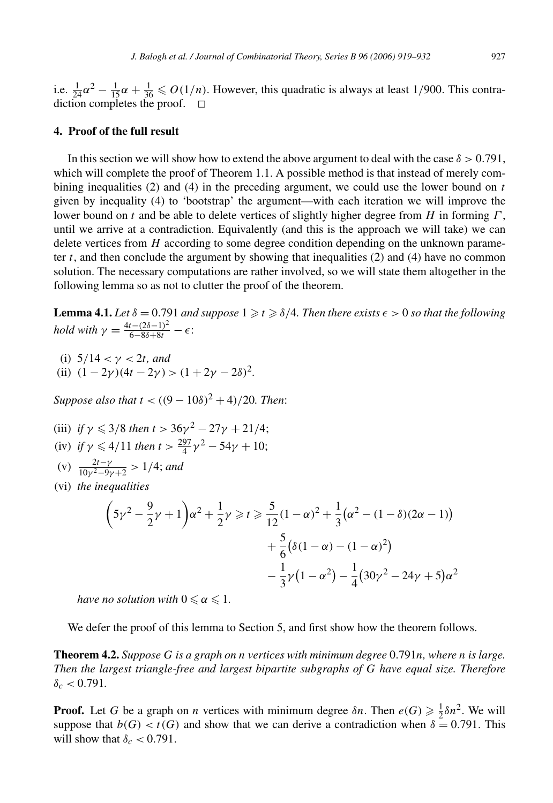i.e.  $\frac{1}{24}\alpha^2 - \frac{1}{15}\alpha + \frac{1}{36} \leqslant O(1/n)$ . However, this quadratic is always at least 1/900. This contradiction completes the proof.  $\square$ 

## **4. Proof of the full result**

In this section we will show how to extend the above argument to deal with the case  $\delta > 0.791$ , which will complete the proof of Theorem 1.1. A possible method is that instead of merely combining inequalities (2) and (4) in the preceding argument, we could use the lower bound on *t* given by inequality (4) to 'bootstrap' the argument—with each iteration we will improve the lower bound on *t* and be able to delete vertices of slightly higher degree from *H* in forming *Γ* , until we arrive at a contradiction. Equivalently (and this is the approach we will take) we can delete vertices from *H* according to some degree condition depending on the unknown parameter *t*, and then conclude the argument by showing that inequalities (2) and (4) have no common solution. The necessary computations are rather involved, so we will state them altogether in the following lemma so as not to clutter the proof of the theorem.

**Lemma 4.1.** *Let*  $\delta = 0.791$  *and suppose*  $1 \ge t \ge \delta/4$ *. Then there exists*  $\epsilon > 0$  *so that the following hold with*  $\gamma = \frac{4t-(2\delta-1)^2}{6-8\delta+8t} - \epsilon$ :

(i)  $5/14 < \gamma < 2t$ *, and* (ii)  $(1 - 2\gamma)(4t - 2\gamma) > (1 + 2\gamma - 2\delta)^2$ .

*Suppose also that*  $t < ((9 - 10\delta)^2 + 4)/20$ *. Then:* 

- $(iii)$  *if*  $\gamma \leq 3/8$  *then*  $t > 36\gamma^2 27\gamma + 21/4$ ;  $(iv)$  *if*  $\gamma \leq 4/11$  *then*  $t > \frac{297}{4}\gamma^2 - 54\gamma + 10$ ;  $(v)$   $\frac{2t-\gamma}{10\gamma^2-9\gamma+2} > 1/4$ ; *and*
- (vi) *the inequalities*

$$
\left(5\gamma^2 - \frac{9}{2}\gamma + 1\right)\alpha^2 + \frac{1}{2}\gamma \ge t \ge \frac{5}{12}(1 - \alpha)^2 + \frac{1}{3}(\alpha^2 - (1 - \delta)(2\alpha - 1)) + \frac{5}{6}(\delta(1 - \alpha) - (1 - \alpha)^2) - \frac{1}{3}\gamma(1 - \alpha^2) - \frac{1}{4}(30\gamma^2 - 24\gamma + 5)\alpha^2
$$

*have no solution with*  $0 \le \alpha \le 1$ .

We defer the proof of this lemma to Section 5, and first show how the theorem follows.

**Theorem 4.2.** *Suppose G is a graph on n vertices with minimum degree* 0*.*791*n, where n is large. Then the largest triangle-free and largest bipartite subgraphs of G have equal size. Therefore*  $\delta_c < 0.791$ .

**Proof.** Let *G* be a graph on *n* vertices with minimum degree  $\delta n$ . Then  $e(G) \geq \frac{1}{2}\delta n^2$ . We will suppose that  $b(G) < t(G)$  and show that we can derive a contradiction when  $\delta = 0.791$ . This will show that  $\delta_c < 0.791$ .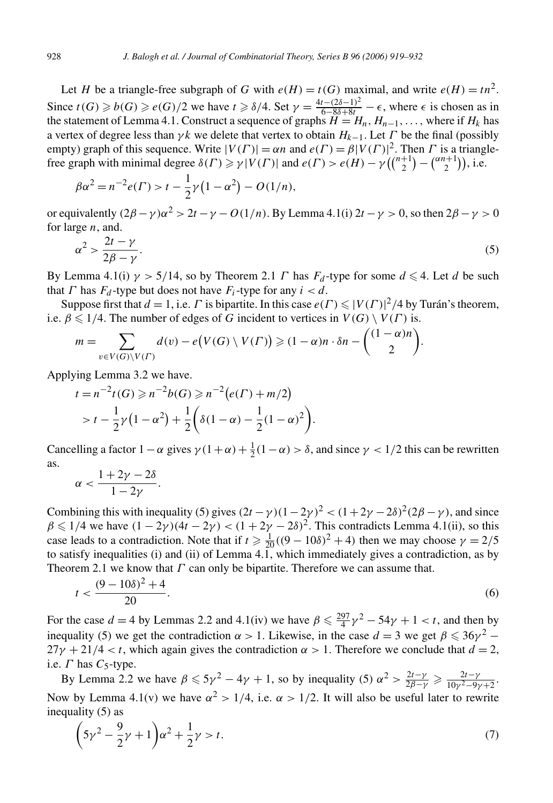Let *H* be a triangle-free subgraph of *G* with  $e(H) = t(G)$  maximal, and write  $e(H) = t n^2$ . Since  $t(G) \geq b(G) \geq e(G)/2$  we have  $t \geq \delta/4$ . Set  $\gamma = \frac{4t-(2\delta-1)^2}{6-8\delta+8t} - \epsilon$ , where  $\epsilon$  is chosen as in the statement of Lemma 4.1. Construct a sequence of graphs  $H = H_n, H_{n-1}, \ldots$ , where if  $H_k$  has a vertex of degree less than  $\gamma k$  we delete that vertex to obtain  $H_{k-1}$ . Let  $\Gamma$  be the final (possibly empty) graph of this sequence. Write  $|V(\Gamma)| = \alpha n$  and  $e(\Gamma) = \beta |V(\Gamma)|^2$ . Then  $\Gamma$  is a trianglefree graph with minimal degree  $\delta(\Gamma) \ge \gamma |V(\Gamma)|$  and  $e(\Gamma) > e(H) - \gamma {n+1 \choose 2} - {a n+1 \choose 2}$ , i.e.

$$
\beta \alpha^2 = n^{-2} e(\Gamma) > t - \frac{1}{2} \gamma (1 - \alpha^2) - O(1/n),
$$

or equivalently  $(2\beta - \gamma)\alpha^2 > 2t - \gamma - O(1/n)$ . By Lemma 4.1(i)  $2t - \gamma > 0$ , so then  $2\beta - \gamma > 0$ for large *n*, and.

$$
\alpha^2 > \frac{2t - \gamma}{2\beta - \gamma}.\tag{5}
$$

By Lemma 4.1(i)  $\gamma > 5/14$ , so by Theorem 2.1 *Γ* has  $F_d$ -type for some  $d \leq 4$ . Let *d* be such that *Γ* has  $F_d$ -type but does not have  $F_i$ -type for any  $i < d$ .

Suppose first that  $d = 1$ , i.e.  $\Gamma$  is bipartite. In this case  $e(\Gamma) \leqslant |V(\Gamma)|^2/4$  by Turán's theorem, i.e.  $\beta \leq 1/4$ . The number of edges of *G* incident to vertices in  $V(G) \setminus V(\Gamma)$  is.

$$
m = \sum_{v \in V(G) \setminus V(\Gamma)} d(v) - e(V(G) \setminus V(\Gamma)) \geq (1 - \alpha)n \cdot \delta n - \binom{(1 - \alpha)n}{2}.
$$

Applying Lemma 3.2 we have.

$$
t = n^{-2}t(G) \ge n^{-2}b(G) \ge n^{-2}(e(\Gamma) + m/2)
$$
  
>  $t - \frac{1}{2}\gamma(1 - \alpha^2) + \frac{1}{2}\left(\delta(1 - \alpha) - \frac{1}{2}(1 - \alpha)^2\right).$ 

Cancelling a factor  $1 - \alpha$  gives  $\gamma(1 + \alpha) + \frac{1}{2}(1 - \alpha) > \delta$ , and since  $\gamma < 1/2$  this can be rewritten as.

$$
\alpha<\frac{1+2\gamma-2\delta}{1-2\gamma}.
$$

Combining this with inequality (5) gives  $(2t - \gamma)(1 - 2\gamma)^2 < (1 + 2\gamma - 2\delta)^2(2\beta - \gamma)$ , and since  $\beta \leq 1/4$  we have  $(1 - 2\gamma)(4t - 2\gamma) < (1 + 2\gamma - 2\delta)^2$ . This contradicts Lemma 4.1(ii), so this case leads to a contradiction. Note that if  $t \ge \frac{1}{20}((9 - 10\delta)^2 + 4)$  then we may choose  $\gamma = 2/5$ to satisfy inequalities (i) and (ii) of Lemma 4.1, which immediately gives a contradiction, as by Theorem 2.1 we know that *Γ* can only be bipartite. Therefore we can assume that.

$$
t < \frac{(9 - 10\delta)^2 + 4}{20}.\tag{6}
$$

For the case  $d = 4$  by Lemmas 2.2 and 4.1(iv) we have  $\beta \leq \frac{297}{4} \gamma^2 - 54 \gamma + 1 < t$ , and then by inequality (5) we get the contradiction  $\alpha > 1$ . Likewise, in the case  $d = 3$  we get  $\beta \leq 36\gamma^2$  –  $27\gamma + 21/4 < t$ , which again gives the contradiction  $\alpha > 1$ . Therefore we conclude that  $d = 2$ , i.e.  $\Gamma$  has  $C_5$ -type.

By Lemma 2.2 we have  $\beta \leq 5\gamma^2 - 4\gamma + 1$ , so by inequality (5)  $\alpha^2 > \frac{2t - \gamma}{2\beta - \gamma} \geq \frac{2t - \gamma}{10\gamma^2 - 9\gamma + 2}$ . Now by Lemma 4.1(v) we have  $\alpha^2 > 1/4$ , i.e.  $\alpha > 1/2$ . It will also be useful later to rewrite inequality (5) as

$$
(7)
$$
\n
$$
(7)
$$
\n
$$
\left(5\gamma^2 - \frac{9}{2}\gamma + 1\right)\alpha^2 + \frac{1}{2}\gamma > t.
$$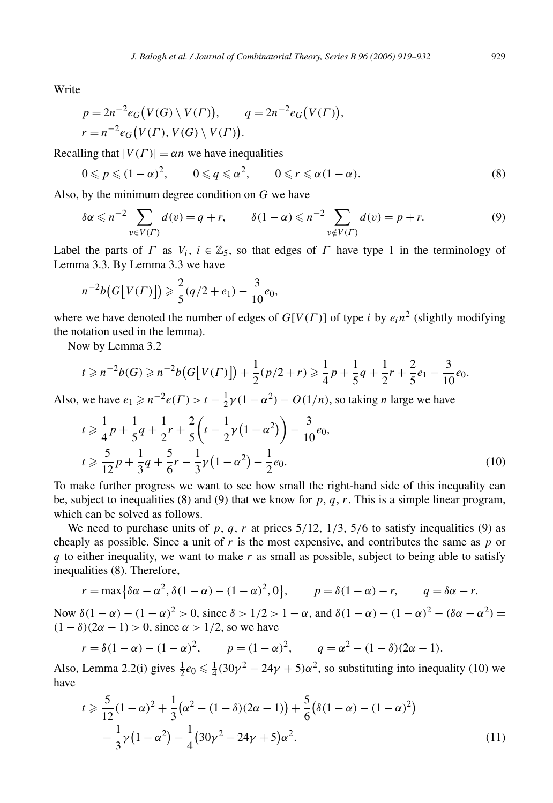Write

$$
p = 2n^{-2}e_G(V(G) \setminus V(\Gamma)), \qquad q = 2n^{-2}e_G(V(\Gamma)),
$$
  

$$
r = n^{-2}e_G(V(\Gamma), V(G) \setminus V(\Gamma)).
$$

Recalling that  $|V(T)| = \alpha n$  we have inequalities

$$
0 \leqslant p \leqslant (1 - \alpha)^2, \qquad 0 \leqslant q \leqslant \alpha^2, \qquad 0 \leqslant r \leqslant \alpha (1 - \alpha). \tag{8}
$$

Also, by the minimum degree condition on *G* we have

$$
\delta \alpha \leqslant n^{-2} \sum_{v \in V(\Gamma)} d(v) = q + r, \qquad \delta(1 - \alpha) \leqslant n^{-2} \sum_{v \notin V(\Gamma)} d(v) = p + r. \tag{9}
$$

Label the parts of *Γ* as  $V_i$ ,  $i \in \mathbb{Z}_5$ , so that edges of *Γ* have type 1 in the terminology of Lemma 3.3. By Lemma 3.3 we have

$$
n^{-2}b\big(G[V(\Gamma)\big]\big) \geq \frac{2}{5}(q/2 + e_1) - \frac{3}{10}e_0,
$$

where we have denoted the number of edges of  $G[V(T)]$  of type *i* by  $e_i n^2$  (slightly modifying the notation used in the lemma).

Now by Lemma 3.2

$$
t \geqslant n^{-2}b(G) \geqslant n^{-2}b\big(G[V(\Gamma)\big]\big) + \frac{1}{2}(p/2+r) \geqslant \frac{1}{4}p + \frac{1}{5}q + \frac{1}{2}r + \frac{2}{5}e_1 - \frac{3}{10}e_0.
$$

Also, we have  $e_1 \ge n^{-2}e(\Gamma) > t - \frac{1}{2}\gamma(1-\alpha^2) - O(1/n)$ , so taking *n* large we have

$$
t \ge \frac{1}{4}p + \frac{1}{5}q + \frac{1}{2}r + \frac{2}{5}\left(t - \frac{1}{2}\gamma\left(1 - \alpha^2\right)\right) - \frac{3}{10}e_0,
$$
  

$$
t \ge \frac{5}{12}p + \frac{1}{3}q + \frac{5}{6}r - \frac{1}{3}\gamma\left(1 - \alpha^2\right) - \frac{1}{2}e_0.
$$
 (10)

To make further progress we want to see how small the right-hand side of this inequality can be, subject to inequalities (8) and (9) that we know for  $p$ ,  $q$ ,  $r$ . This is a simple linear program, which can be solved as follows.

We need to purchase units of p, q, r at prices  $5/12$ ,  $1/3$ ,  $5/6$  to satisfy inequalities (9) as cheaply as possible. Since a unit of *r* is the most expensive, and contributes the same as *p* or *q* to either inequality, we want to make *r* as small as possible, subject to being able to satisfy inequalities (8). Therefore,

$$
r = \max\{\delta\alpha - \alpha^2, \delta(1 - \alpha) - (1 - \alpha)^2, 0\}, \qquad p = \delta(1 - \alpha) - r, \qquad q = \delta\alpha - r.
$$

Now  $\delta(1 - \alpha) - (1 - \alpha)^2 > 0$ , since  $\delta > 1/2 > 1 - \alpha$ , and  $\delta(1 - \alpha) - (1 - \alpha)^2 - (\delta \alpha - \alpha^2) =$  $(1 - \delta)(2\alpha - 1) > 0$ , since  $\alpha > 1/2$ , so we have

$$
r = \delta(1 - \alpha) - (1 - \alpha)^2
$$
,  $p = (1 - \alpha)^2$ ,  $q = \alpha^2 - (1 - \delta)(2\alpha - 1)$ .

Also, Lemma 2.2(i) gives  $\frac{1}{2}e_0 \leq \frac{1}{4}(30\gamma^2 - 24\gamma + 5)\alpha^2$ , so substituting into inequality (10) we have

$$
t \ge \frac{5}{12} (1 - \alpha)^2 + \frac{1}{3} (\alpha^2 - (1 - \delta)(2\alpha - 1)) + \frac{5}{6} (\delta (1 - \alpha) - (1 - \alpha)^2)
$$
  
 
$$
- \frac{1}{3} \gamma (1 - \alpha^2) - \frac{1}{4} (30\gamma^2 - 24\gamma + 5)\alpha^2.
$$
 (11)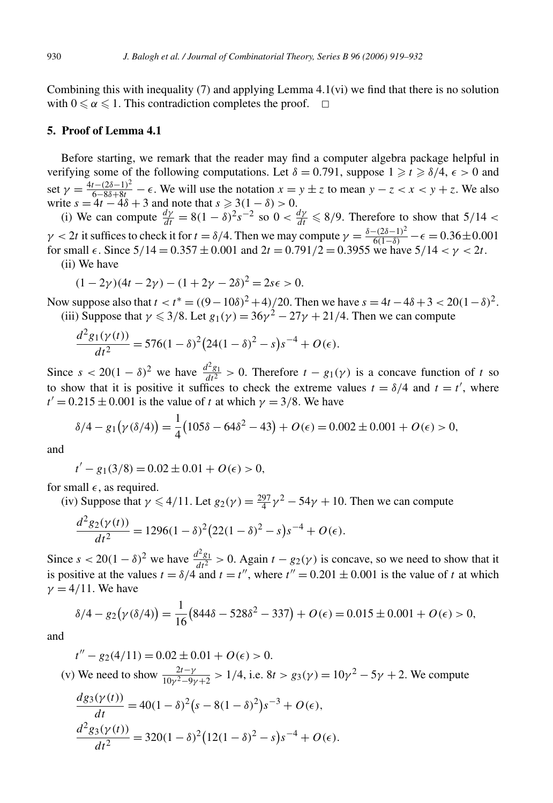Combining this with inequality  $(7)$  and applying Lemma 4.1(vi) we find that there is no solution with  $0 \le \alpha \le 1$ . This contradiction completes the proof.  $\Box$ 

#### **5. Proof of Lemma 4.1**

Before starting, we remark that the reader may find a computer algebra package helpful in verifying some of the following computations. Let  $\delta = 0.791$ , suppose  $1 \ge t \ge \delta/4$ ,  $\epsilon > 0$  and set  $\gamma = \frac{4t - (2\delta - 1)^2}{6 - 8\delta + 8t} - \epsilon$ . We will use the notation  $x = y \pm z$  to mean  $y - z < x < y + z$ . We also write  $s = 4t - 4\delta + 3$  and note that  $s \ge 3(1 - \delta) > 0$ .

(i) We can compute  $\frac{dy}{dt} = 8(1 - \delta)^2 s^{-2}$  so  $0 < \frac{dy}{dt} \le 8/9$ . Therefore to show that  $5/14 <$ *γ* < 2*t* it suffices to check it for  $t = \delta/4$ . Then we may compute  $\gamma = \frac{\delta - (2\delta - 1)^2}{6(1 - \delta)} - \epsilon = 0.36 \pm 0.001$ for small  $\epsilon$ . Since  $5/14 = 0.357 \pm 0.001$  and  $2t = 0.791/2 = 0.3955$  we have  $5/14 < \gamma < 2t$ . (ii) We have

$$
(1 - 2\gamma)(4t - 2\gamma) - (1 + 2\gamma - 2\delta)^2 = 2s\epsilon > 0.
$$

Now suppose also that  $t < t^* = ((9 - 10\delta)^2 + 4)/20$ . Then we have  $s = 4t - 4\delta + 3 < 20(1 - \delta)^2$ .

(iii) Suppose that  $\gamma \leq 3/8$ . Let  $g_1(\gamma) = 36\gamma^2 - 27\gamma + 21/4$ . Then we can compute

$$
\frac{d^2g_1(\gamma(t))}{dt^2} = 576(1-\delta)^2(24(1-\delta)^2 - s)s^{-4} + O(\epsilon).
$$

Since  $s < 20(1 - \delta)^2$  we have  $\frac{d^2g_1}{dt^2} > 0$ . Therefore  $t - g_1(\gamma)$  is a concave function of *t* so to show that it is positive it suffices to check the extreme values  $t = \delta/4$  and  $t = t'$ , where  $t' = 0.215 \pm 0.001$  is the value of *t* at which  $\gamma = 3/8$ . We have

$$
\delta/4 - g_1(\gamma(\delta/4)) = \frac{1}{4}(105\delta - 64\delta^2 - 43) + O(\epsilon) = 0.002 \pm 0.001 + O(\epsilon) > 0,
$$

and

$$
t'-g_1(3/8) = 0.02 \pm 0.01 + O(\epsilon) > 0,
$$

for small  $\epsilon$ , as required.

(iv) Suppose that  $\gamma \leq 4/11$ . Let  $g_2(\gamma) = \frac{297}{4} \gamma^2 - 54\gamma + 10$ . Then we can compute

$$
\frac{d^2g_2(\gamma(t))}{dt^2} = 1296(1-\delta)^2(22(1-\delta)^2 - s)s^{-4} + O(\epsilon).
$$

Since  $s < 20(1 - \delta)^2$  we have  $\frac{d^2g_1}{dt^2} > 0$ . Again  $t - g_2(\gamma)$  is concave, so we need to show that it is positive at the values  $t = \delta/4$  and  $t = t$ <sup>"</sup>, where  $t'' = 0.201 \pm 0.001$  is the value of t at which  $\gamma = 4/11$ . We have

$$
\delta/4 - g_2(\gamma(\delta/4)) = \frac{1}{16} (844\delta - 528\delta^2 - 337) + O(\epsilon) = 0.015 \pm 0.001 + O(\epsilon) > 0,
$$

and

$$
t'' - g_2(4/11) = 0.02 \pm 0.01 + O(\epsilon) > 0.
$$
  
(v) We need to show 
$$
\frac{2t - \gamma}{10\gamma^2 - 9\gamma + 2} > 1/4
$$
, i.e.  $8t > g_3(\gamma) = 10\gamma^2 - 5\gamma + 2$ . We compute
$$
\frac{dg_3(\gamma(t))}{dt} = 40(1 - \delta)^2 (s - 8(1 - \delta)^2)s^{-3} + O(\epsilon),
$$

$$
\frac{d^2g_3(\gamma(t))}{dt^2} = 320(1 - \delta)^2 (12(1 - \delta)^2 - s)s^{-4} + O(\epsilon).
$$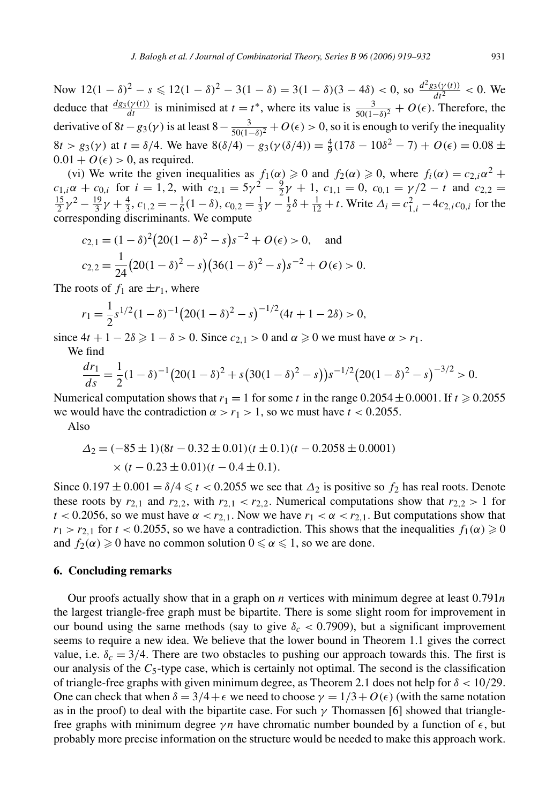Now  $12(1 - \delta)^2 - s \le 12(1 - \delta)^2 - 3(1 - \delta) = 3(1 - \delta)(3 - 4\delta) < 0$ , so  $\frac{d^2g_3(\gamma(t))}{dt^2} < 0$ . We deduce that  $\frac{dg_3(\gamma(t))}{dt}$  is minimised at  $t = t^*$ , where its value is  $\frac{3}{50(1-\delta)^2} + O(\epsilon)$ . Therefore, the derivative of  $8t - g_3(\gamma)$  is at least  $8 - \frac{3}{50(1-\delta)^2} + O(\epsilon) > 0$ , so it is enough to verify the inequality  $8t > g_3(\gamma)$  at  $t = \delta/4$ . We have  $8(\delta/4) - g_3(\gamma(\delta/4)) = \frac{4}{9}(17\delta - 10\delta^2 - 7) + O(\epsilon) = 0.08 \pm 0.08$  $0.01 + O(\epsilon) > 0$ , as required.

(vi) We write the given inequalities as  $f_1(\alpha) \ge 0$  and  $f_2(\alpha) \ge 0$ , where  $f_i(\alpha) = c_{2,i}\alpha^2 + c_{2,i}\alpha^2$ *c*<sub>1</sub>*,i*α + *c*<sub>0</sub>*,i* for *i* = 1, 2, with *c*<sub>2</sub>*,*1 = 5*γ*<sup>2</sup> -  $\frac{9}{2}$ *γ* + 1, *c*<sub>1</sub>*,*1 = 0, *c*<sub>0</sub>*,*1 = *γ*/2 - *t* and *c*<sub>2</sub>*z* =  $\frac{15}{2}$ *γ* 2 -  $\frac{19}{2}$ *γ* +  $\frac{4}{2}$  *c*<sub>1</sub>*c* 2 -  $\frac{1}{2}$  *c*<sub>2</sub> +  $\frac{15}{2}\gamma^2 - \frac{19}{3}\gamma + \frac{4}{3}, c_{1,2} = -\frac{1}{6}(1-\delta), c_{0,2} = \frac{1}{3}\gamma - \frac{1}{2}\delta + \frac{1}{12} + t$ . Write  $\Delta_i = c_{1,i}^2 - 4c_{2,i}c_{0,i}$  for the corresponding discriminants. We compute

$$
c_{2,1} = (1 - \delta)^2 (20(1 - \delta)^2 - s) s^{-2} + O(\epsilon) > 0, \text{ and}
$$
  

$$
c_{2,2} = \frac{1}{24} (20(1 - \delta)^2 - s) (36(1 - \delta)^2 - s) s^{-2} + O(\epsilon) > 0.
$$

The roots of  $f_1$  are  $\pm r_1$ , where

$$
r_1 = \frac{1}{2}s^{1/2}(1-\delta)^{-1}(20(1-\delta)^2 - s)^{-1/2}(4t + 1 - 2\delta) > 0,
$$

since  $4t + 1 - 2\delta \geq 1 - \delta > 0$ . Since  $c_{2,1} > 0$  and  $\alpha \geq 0$  we must have  $\alpha > r_1$ . We find

$$
\frac{dr_1}{ds} = \frac{1}{2}(1-\delta)^{-1}(20(1-\delta)^2 + s(30(1-\delta)^2 - s))s^{-1/2}(20(1-\delta)^2 - s)^{-3/2} > 0.
$$

Numerical computation shows that  $r_1 = 1$  for some *t* in the range  $0.2054 \pm 0.0001$ . If  $t \ge 0.2055$ we would have the contradiction  $\alpha > r_1 > 1$ , so we must have  $t < 0.2055$ .

Also

$$
\Delta_2 = (-85 \pm 1)(8t - 0.32 \pm 0.01)(t \pm 0.1)(t - 0.2058 \pm 0.0001)
$$
  
× (t - 0.23 ± 0.01)(t - 0.4 ± 0.1).

Since  $0.197 \pm 0.001 = \delta/4 \le t < 0.2055$  we see that  $\Delta_2$  is positive so  $f_2$  has real roots. Denote these roots by  $r_{2,1}$  and  $r_{2,2}$ , with  $r_{2,1} < r_{2,2}$ . Numerical computations show that  $r_{2,2} > 1$  for  $t < 0.2056$ , so we must have  $\alpha < r_{2,1}$ . Now we have  $r_1 < \alpha < r_{2,1}$ . But computations show that  $r_1 > r_{2,1}$  for  $t < 0.2055$ , so we have a contradiction. This shows that the inequalities  $f_1(\alpha) \geq 0$ and  $f_2(\alpha) \geq 0$  have no common solution  $0 \leq \alpha \leq 1$ , so we are done.

## **6. Concluding remarks**

Our proofs actually show that in a graph on *n* vertices with minimum degree at least 0*.*791*n* the largest triangle-free graph must be bipartite. There is some slight room for improvement in our bound using the same methods (say to give  $\delta_c < 0.7909$ ), but a significant improvement seems to require a new idea. We believe that the lower bound in Theorem 1.1 gives the correct value, i.e.  $\delta_c = 3/4$ . There are two obstacles to pushing our approach towards this. The first is our analysis of the *C*5-type case, which is certainly not optimal. The second is the classification of triangle-free graphs with given minimum degree, as Theorem 2.1 does not help for *δ <* 10*/*29. One can check that when  $\delta = 3/4 + \epsilon$  we need to choose  $\gamma = 1/3 + O(\epsilon)$  (with the same notation as in the proof) to deal with the bipartite case. For such *γ* Thomassen [6] showed that trianglefree graphs with minimum degree  $\gamma n$  have chromatic number bounded by a function of  $\epsilon$ , but probably more precise information on the structure would be needed to make this approach work.